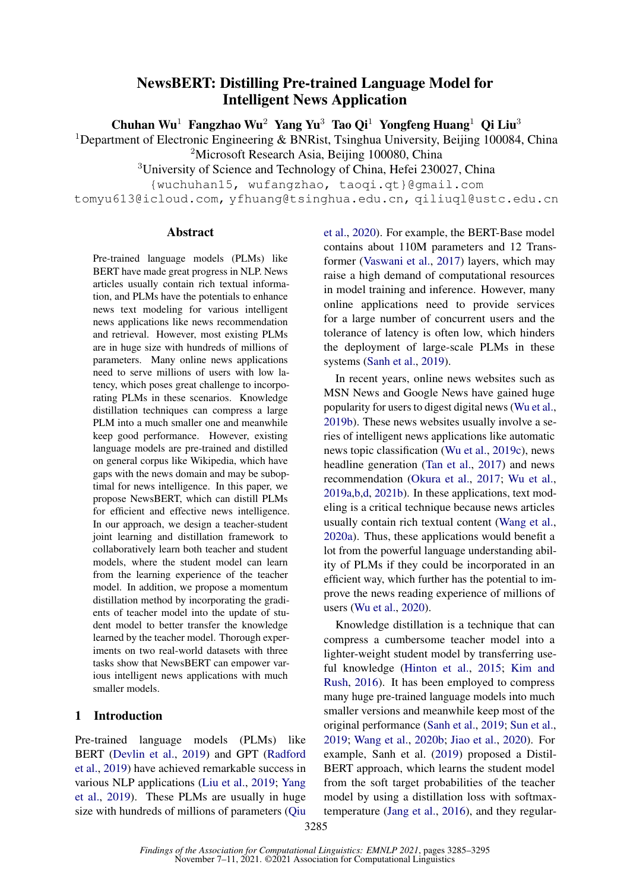# NewsBERT: Distilling Pre-trained Language Model for Intelligent News Application

Chuhan Wu<sup>1</sup> Fangzhao Wu<sup>2</sup> Yang Yu<sup>3</sup> Tao Oi<sup>1</sup> Yongfeng Huang<sup>1</sup> Oi Liu<sup>3</sup>

<sup>1</sup>Department of Electronic Engineering & BNRist, Tsinghua University, Beijing 100084, China <sup>2</sup>Microsoft Research Asia, Beijing 100080, China

<sup>3</sup>University of Science and Technology of China, Hefei 230027, China

{wuchuhan15, wufangzhao, taoqi.qt}@gmail.com

tomyu613@icloud.com, yfhuang@tsinghua.edu.cn, qiliuql@ustc.edu.cn

#### Abstract

Pre-trained language models (PLMs) like BERT have made great progress in NLP. News articles usually contain rich textual information, and PLMs have the potentials to enhance news text modeling for various intelligent news applications like news recommendation and retrieval. However, most existing PLMs are in huge size with hundreds of millions of parameters. Many online news applications need to serve millions of users with low latency, which poses great challenge to incorporating PLMs in these scenarios. Knowledge distillation techniques can compress a large PLM into a much smaller one and meanwhile keep good performance. However, existing language models are pre-trained and distilled on general corpus like Wikipedia, which have gaps with the news domain and may be suboptimal for news intelligence. In this paper, we propose NewsBERT, which can distill PLMs for efficient and effective news intelligence. In our approach, we design a teacher-student joint learning and distillation framework to collaboratively learn both teacher and student models, where the student model can learn from the learning experience of the teacher model. In addition, we propose a momentum distillation method by incorporating the gradients of teacher model into the update of student model to better transfer the knowledge learned by the teacher model. Thorough experiments on two real-world datasets with three tasks show that NewsBERT can empower various intelligent news applications with much smaller models.

# 1 Introduction

Pre-trained language models (PLMs) like BERT [\(Devlin et al.,](#page-9-0) [2019\)](#page-9-0) and GPT [\(Radford](#page-9-1) [et al.,](#page-9-1) [2019\)](#page-9-1) have achieved remarkable success in various NLP applications [\(Liu et al.,](#page-9-2) [2019;](#page-9-2) [Yang](#page-10-0) [et al.,](#page-10-0) [2019\)](#page-10-0). These PLMs are usually in huge size with hundreds of millions of parameters [\(Qiu](#page-9-3) [et al.,](#page-9-3) [2020\)](#page-9-3). For example, the BERT-Base model contains about 110M parameters and 12 Transformer [\(Vaswani et al.,](#page-9-4) [2017\)](#page-9-4) layers, which may raise a high demand of computational resources in model training and inference. However, many online applications need to provide services for a large number of concurrent users and the tolerance of latency is often low, which hinders the deployment of large-scale PLMs in these systems [\(Sanh et al.,](#page-9-5) [2019\)](#page-9-5).

In recent years, online news websites such as MSN News and Google News have gained huge popularity for users to digest digital news [\(Wu et al.,](#page-10-1) [2019b\)](#page-10-1). These news websites usually involve a series of intelligent news applications like automatic news topic classification [\(Wu et al.,](#page-10-2) [2019c\)](#page-10-2), news headline generation [\(Tan et al.,](#page-9-6) [2017\)](#page-9-6) and news recommendation [\(Okura et al.,](#page-9-7) [2017;](#page-9-7) [Wu et al.,](#page-10-3) [2019a](#page-10-3)[,b,](#page-10-1)[d,](#page-10-4) [2021b\)](#page-10-5). In these applications, text modeling is a critical technique because news articles usually contain rich textual content [\(Wang et al.,](#page-9-8) [2020a\)](#page-9-8). Thus, these applications would benefit a lot from the powerful language understanding ability of PLMs if they could be incorporated in an efficient way, which further has the potential to improve the news reading experience of millions of users [\(Wu et al.,](#page-10-6) [2020\)](#page-10-6).

Knowledge distillation is a technique that can compress a cumbersome teacher model into a lighter-weight student model by transferring useful knowledge [\(Hinton et al.,](#page-9-9) [2015;](#page-9-9) [Kim and](#page-9-10) [Rush,](#page-9-10) [2016\)](#page-9-10). It has been employed to compress many huge pre-trained language models into much smaller versions and meanwhile keep most of the original performance [\(Sanh et al.,](#page-9-5) [2019;](#page-9-5) [Sun et al.,](#page-9-11) [2019;](#page-9-11) [Wang et al.,](#page-10-7) [2020b;](#page-10-7) [Jiao et al.,](#page-9-12) [2020\)](#page-9-12). For example, Sanh et al. [\(2019\)](#page-9-5) proposed a Distil-BERT approach, which learns the student model from the soft target probabilities of the teacher model by using a distillation loss with softmaxtemperature [\(Jang et al.,](#page-9-13) [2016\)](#page-9-13), and they regular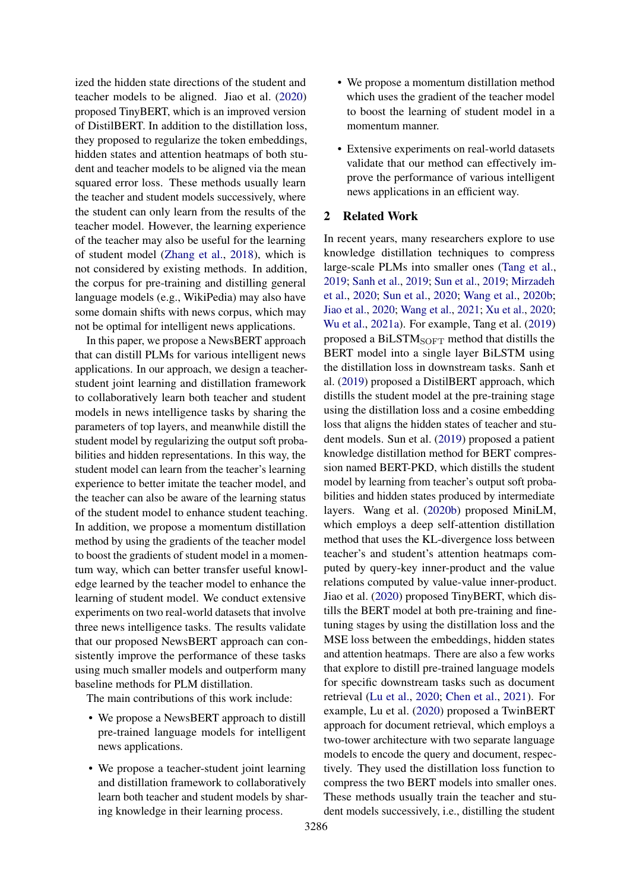ized the hidden state directions of the student and teacher models to be aligned. Jiao et al. [\(2020\)](#page-9-12) proposed TinyBERT, which is an improved version of DistilBERT. In addition to the distillation loss, they proposed to regularize the token embeddings, hidden states and attention heatmaps of both student and teacher models to be aligned via the mean squared error loss. These methods usually learn the teacher and student models successively, where the student can only learn from the results of the teacher model. However, the learning experience of the teacher may also be useful for the learning of student model [\(Zhang et al.,](#page-10-8) [2018\)](#page-10-8), which is not considered by existing methods. In addition, the corpus for pre-training and distilling general language models (e.g., WikiPedia) may also have some domain shifts with news corpus, which may not be optimal for intelligent news applications.

In this paper, we propose a NewsBERT approach that can distill PLMs for various intelligent news applications. In our approach, we design a teacherstudent joint learning and distillation framework to collaboratively learn both teacher and student models in news intelligence tasks by sharing the parameters of top layers, and meanwhile distill the student model by regularizing the output soft probabilities and hidden representations. In this way, the student model can learn from the teacher's learning experience to better imitate the teacher model, and the teacher can also be aware of the learning status of the student model to enhance student teaching. In addition, we propose a momentum distillation method by using the gradients of the teacher model to boost the gradients of student model in a momentum way, which can better transfer useful knowledge learned by the teacher model to enhance the learning of student model. We conduct extensive experiments on two real-world datasets that involve three news intelligence tasks. The results validate that our proposed NewsBERT approach can consistently improve the performance of these tasks using much smaller models and outperform many baseline methods for PLM distillation.

The main contributions of this work include:

- We propose a NewsBERT approach to distill pre-trained language models for intelligent news applications.
- We propose a teacher-student joint learning and distillation framework to collaboratively learn both teacher and student models by sharing knowledge in their learning process.
- We propose a momentum distillation method which uses the gradient of the teacher model to boost the learning of student model in a momentum manner.
- Extensive experiments on real-world datasets validate that our method can effectively improve the performance of various intelligent news applications in an efficient way.

### 2 Related Work

In recent years, many researchers explore to use knowledge distillation techniques to compress large-scale PLMs into smaller ones [\(Tang et al.,](#page-9-14) [2019;](#page-9-14) [Sanh et al.,](#page-9-5) [2019;](#page-9-5) [Sun et al.,](#page-9-11) [2019;](#page-9-11) [Mirzadeh](#page-9-15) [et al.,](#page-9-15) [2020;](#page-9-15) [Sun et al.,](#page-9-16) [2020;](#page-9-16) [Wang et al.,](#page-10-7) [2020b;](#page-10-7) [Jiao et al.,](#page-9-12) [2020;](#page-9-12) [Wang et al.,](#page-9-17) [2021;](#page-9-17) [Xu et al.,](#page-10-9) [2020;](#page-10-9) [Wu et al.,](#page-10-10) [2021a\)](#page-10-10). For example, Tang et al. [\(2019\)](#page-9-14) proposed a BiLST $M_{\text{SOFT}}$  method that distills the BERT model into a single layer BiLSTM using the distillation loss in downstream tasks. Sanh et al. [\(2019\)](#page-9-5) proposed a DistilBERT approach, which distills the student model at the pre-training stage using the distillation loss and a cosine embedding loss that aligns the hidden states of teacher and student models. Sun et al. [\(2019\)](#page-9-11) proposed a patient knowledge distillation method for BERT compression named BERT-PKD, which distills the student model by learning from teacher's output soft probabilities and hidden states produced by intermediate layers. Wang et al. [\(2020b\)](#page-10-7) proposed MiniLM, which employs a deep self-attention distillation method that uses the KL-divergence loss between teacher's and student's attention heatmaps computed by query-key inner-product and the value relations computed by value-value inner-product. Jiao et al. [\(2020\)](#page-9-12) proposed TinyBERT, which distills the BERT model at both pre-training and finetuning stages by using the distillation loss and the MSE loss between the embeddings, hidden states and attention heatmaps. There are also a few works that explore to distill pre-trained language models for specific downstream tasks such as document retrieval [\(Lu et al.,](#page-9-18) [2020;](#page-9-18) [Chen et al.,](#page-9-19) [2021\)](#page-9-19). For example, Lu et al. [\(2020\)](#page-9-18) proposed a TwinBERT approach for document retrieval, which employs a two-tower architecture with two separate language models to encode the query and document, respectively. They used the distillation loss function to compress the two BERT models into smaller ones. These methods usually train the teacher and student models successively, i.e., distilling the student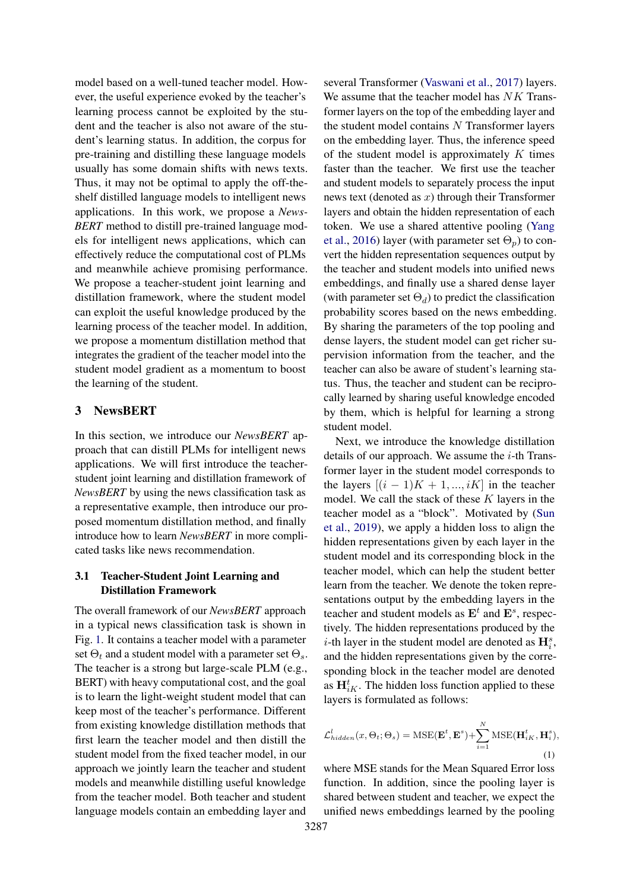model based on a well-tuned teacher model. However, the useful experience evoked by the teacher's learning process cannot be exploited by the student and the teacher is also not aware of the student's learning status. In addition, the corpus for pre-training and distilling these language models usually has some domain shifts with news texts. Thus, it may not be optimal to apply the off-theshelf distilled language models to intelligent news applications. In this work, we propose a *News-BERT* method to distill pre-trained language models for intelligent news applications, which can effectively reduce the computational cost of PLMs and meanwhile achieve promising performance. We propose a teacher-student joint learning and distillation framework, where the student model can exploit the useful knowledge produced by the learning process of the teacher model. In addition, we propose a momentum distillation method that integrates the gradient of the teacher model into the student model gradient as a momentum to boost the learning of the student.

# 3 NewsBERT

In this section, we introduce our *NewsBERT* approach that can distill PLMs for intelligent news applications. We will first introduce the teacherstudent joint learning and distillation framework of *NewsBERT* by using the news classification task as a representative example, then introduce our proposed momentum distillation method, and finally introduce how to learn *NewsBERT* in more complicated tasks like news recommendation.

### 3.1 Teacher-Student Joint Learning and Distillation Framework

The overall framework of our *NewsBERT* approach in a typical news classification task is shown in Fig. [1.](#page-3-0) It contains a teacher model with a parameter set  $\Theta_t$  and a student model with a parameter set  $\Theta_s$ . The teacher is a strong but large-scale PLM (e.g., BERT) with heavy computational cost, and the goal is to learn the light-weight student model that can keep most of the teacher's performance. Different from existing knowledge distillation methods that first learn the teacher model and then distill the student model from the fixed teacher model, in our approach we jointly learn the teacher and student models and meanwhile distilling useful knowledge from the teacher model. Both teacher and student language models contain an embedding layer and

several Transformer [\(Vaswani et al.,](#page-9-4) [2017\)](#page-9-4) layers. We assume that the teacher model has NK Transformer layers on the top of the embedding layer and the student model contains N Transformer layers on the embedding layer. Thus, the inference speed of the student model is approximately  $K$  times faster than the teacher. We first use the teacher and student models to separately process the input news text (denoted as  $x$ ) through their Transformer layers and obtain the hidden representation of each token. We use a shared attentive pooling [\(Yang](#page-10-11) [et al.,](#page-10-11) [2016\)](#page-10-11) layer (with parameter set  $\Theta_p$ ) to convert the hidden representation sequences output by the teacher and student models into unified news embeddings, and finally use a shared dense layer (with parameter set  $\Theta_d$ ) to predict the classification probability scores based on the news embedding. By sharing the parameters of the top pooling and dense layers, the student model can get richer supervision information from the teacher, and the teacher can also be aware of student's learning status. Thus, the teacher and student can be reciprocally learned by sharing useful knowledge encoded by them, which is helpful for learning a strong student model.

Next, we introduce the knowledge distillation details of our approach. We assume the  $i$ -th Transformer layer in the student model corresponds to the layers  $[(i - 1)K + 1, ..., iK]$  in the teacher model. We call the stack of these  $K$  layers in the teacher model as a "block". Motivated by [\(Sun](#page-9-11) [et al.,](#page-9-11) [2019\)](#page-9-11), we apply a hidden loss to align the hidden representations given by each layer in the student model and its corresponding block in the teacher model, which can help the student better learn from the teacher. We denote the token representations output by the embedding layers in the teacher and student models as  $\mathbf{E}^t$  and  $\mathbf{E}^s$ , respectively. The hidden representations produced by the *i*-th layer in the student model are denoted as  $\mathbf{H}_{i}^{s}$ , and the hidden representations given by the corresponding block in the teacher model are denoted as  $\mathbf{H}_{iK}^{t}$ . The hidden loss function applied to these layers is formulated as follows:

$$
\mathcal{L}_{hidden}^{l}(x, \Theta_t; \Theta_s) = \text{MSE}(\mathbf{E}^t, \mathbf{E}^s) + \sum_{i=1}^{N} \text{MSE}(\mathbf{H}_{iK}^t, \mathbf{H}_i^s),
$$
\n(1)

where MSE stands for the Mean Squared Error loss function. In addition, since the pooling layer is shared between student and teacher, we expect the unified news embeddings learned by the pooling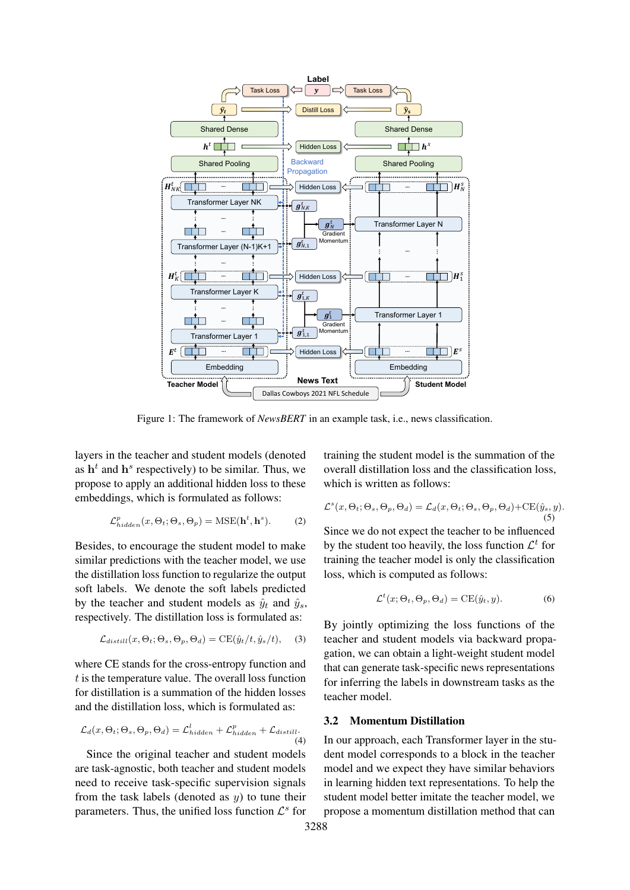<span id="page-3-0"></span>

Figure 1: The framework of *NewsBERT* in an example task, i.e., news classification.

layers in the teacher and student models (denoted as  $h<sup>t</sup>$  and  $h<sup>s</sup>$  respectively) to be similar. Thus, we propose to apply an additional hidden loss to these embeddings, which is formulated as follows:

$$
\mathcal{L}^p_{hidden}(x, \Theta_t; \Theta_s, \Theta_p) = \text{MSE}(\mathbf{h}^t, \mathbf{h}^s). \tag{2}
$$

Besides, to encourage the student model to make similar predictions with the teacher model, we use the distillation loss function to regularize the output soft labels. We denote the soft labels predicted by the teacher and student models as  $\hat{y}_t$  and  $\hat{y}_s$ , respectively. The distillation loss is formulated as:

$$
\mathcal{L}_{distill}(x,\Theta_t;\Theta_s,\Theta_p,\Theta_d) = \text{CE}(\hat{y}_t/t,\hat{y}_s/t),\quad(3)
$$

where CE stands for the cross-entropy function and  $t$  is the temperature value. The overall loss function for distillation is a summation of the hidden losses and the distillation loss, which is formulated as:

$$
\mathcal{L}_d(x, \Theta_t; \Theta_s, \Theta_p, \Theta_d) = \mathcal{L}_{hidden}^l + \mathcal{L}_{hidden}^p + \mathcal{L}_{distill}.
$$
\n(4)

Since the original teacher and student models are task-agnostic, both teacher and student models need to receive task-specific supervision signals from the task labels (denoted as  $y$ ) to tune their parameters. Thus, the unified loss function  $\mathcal{L}^s$  for

training the student model is the summation of the overall distillation loss and the classification loss, which is written as follows:

$$
\mathcal{L}^s(x, \Theta_t; \Theta_s, \Theta_p, \Theta_d) = \mathcal{L}_d(x, \Theta_t; \Theta_s, \Theta_p, \Theta_d) + \text{CE}(\hat{y}_s, y).
$$

Since we do not expect the teacher to be influenced by the student too heavily, the loss function  $\mathcal{L}^t$  for training the teacher model is only the classification loss, which is computed as follows:

$$
\mathcal{L}^t(x; \Theta_t, \Theta_p, \Theta_d) = \text{CE}(\hat{y}_t, y). \tag{6}
$$

By jointly optimizing the loss functions of the teacher and student models via backward propagation, we can obtain a light-weight student model that can generate task-specific news representations for inferring the labels in downstream tasks as the teacher model.

#### 3.2 Momentum Distillation

In our approach, each Transformer layer in the student model corresponds to a block in the teacher model and we expect they have similar behaviors in learning hidden text representations. To help the student model better imitate the teacher model, we propose a momentum distillation method that can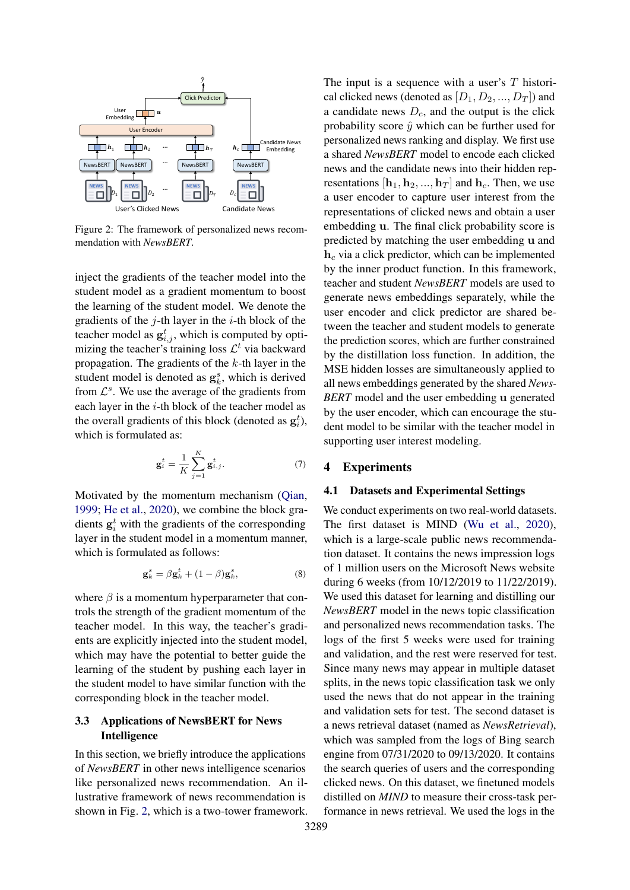<span id="page-4-0"></span>

Figure 2: The framework of personalized news recommendation with *NewsBERT*.

inject the gradients of the teacher model into the student model as a gradient momentum to boost the learning of the student model. We denote the gradients of the  $j$ -th layer in the  $i$ -th block of the teacher model as  $g_{i,j}^t$ , which is computed by optimizing the teacher's training loss  $\mathcal{L}^t$  via backward propagation. The gradients of the  $k$ -th layer in the student model is denoted as  $\mathbf{g}_k^s$ , which is derived from  $\mathcal{L}^s$ . We use the average of the gradients from each layer in the i-th block of the teacher model as the overall gradients of this block (denoted as  $g_i^t$ ), which is formulated as:

$$
\mathbf{g}_i^t = \frac{1}{K} \sum_{j=1}^K \mathbf{g}_{i,j}^t.
$$
 (7)

Motivated by the momentum mechanism [\(Qian,](#page-9-20) [1999;](#page-9-20) [He et al.,](#page-9-21) [2020\)](#page-9-21), we combine the block gradients  $g_i^t$  with the gradients of the corresponding layer in the student model in a momentum manner, which is formulated as follows:

$$
\mathbf{g}_k^s = \beta \mathbf{g}_k^t + (1 - \beta) \mathbf{g}_k^s, \tag{8}
$$

where  $\beta$  is a momentum hyperparameter that controls the strength of the gradient momentum of the teacher model. In this way, the teacher's gradients are explicitly injected into the student model, which may have the potential to better guide the learning of the student by pushing each layer in the student model to have similar function with the corresponding block in the teacher model.

# 3.3 Applications of NewsBERT for News Intelligence

In this section, we briefly introduce the applications of *NewsBERT* in other news intelligence scenarios like personalized news recommendation. An illustrative framework of news recommendation is shown in Fig. [2,](#page-4-0) which is a two-tower framework.

generate news embeddings separately, while the The input is a sequence with a user's  $T$  historical clicked news (denoted as  $[D_1, D_2, ..., D_T]$ ) and a candidate news  $D<sub>c</sub>$ , and the output is the click probability score  $\hat{y}$  which can be further used for personalized news ranking and display. We first use a shared *NewsBERT* model to encode each clicked news and the candidate news into their hidden representations  $[\mathbf{h}_1, \mathbf{h}_2, ..., \mathbf{h}_T]$  and  $\mathbf{h}_c$ . Then, we use a user encoder to capture user interest from the representations of clicked news and obtain a user embedding u. The final click probability score is predicted by matching the user embedding u and  $h_c$  via a click predictor, which can be implemented by the inner product function. In this framework, teacher and student *NewsBERT* models are used to user encoder and click predictor are shared between the teacher and student models to generate the prediction scores, which are further constrained by the distillation loss function. In addition, the MSE hidden losses are simultaneously applied to all news embeddings generated by the shared *News-BERT* model and the user embedding u generated by the user encoder, which can encourage the student model to be similar with the teacher model in supporting user interest modeling.

# 4 Experiments

### 4.1 Datasets and Experimental Settings

We conduct experiments on two real-world datasets. The first dataset is MIND [\(Wu et al.,](#page-10-6) [2020\)](#page-10-6), which is a large-scale public news recommendation dataset. It contains the news impression logs of 1 million users on the Microsoft News website during 6 weeks (from 10/12/2019 to 11/22/2019). We used this dataset for learning and distilling our *NewsBERT* model in the news topic classification and personalized news recommendation tasks. The logs of the first 5 weeks were used for training and validation, and the rest were reserved for test. Since many news may appear in multiple dataset splits, in the news topic classification task we only used the news that do not appear in the training and validation sets for test. The second dataset is a news retrieval dataset (named as *NewsRetrieval*), which was sampled from the logs of Bing search engine from 07/31/2020 to 09/13/2020. It contains the search queries of users and the corresponding clicked news. On this dataset, we finetuned models distilled on *MIND* to measure their cross-task performance in news retrieval. We used the logs in the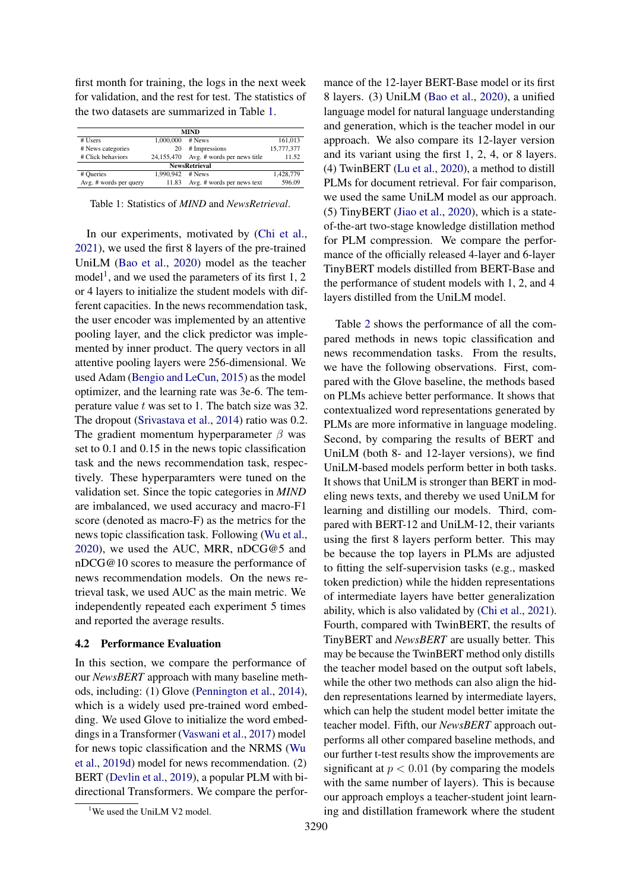first month for training, the logs in the next week for validation, and the rest for test. The statistics of the two datasets are summarized in Table [1.](#page-5-0)

<span id="page-5-0"></span>

| <b>MIND</b>            |           |                                        |            |  |  |  |  |  |  |  |
|------------------------|-----------|----------------------------------------|------------|--|--|--|--|--|--|--|
| # Users                | 1,000,000 | # News                                 | 161,013    |  |  |  |  |  |  |  |
| # News categories      | 20        | # Impressions                          | 15,777,377 |  |  |  |  |  |  |  |
| # Click behaviors      |           | 24,155,470 Avg. # words per news title | 11.52      |  |  |  |  |  |  |  |
| <b>NewsRetrieval</b>   |           |                                        |            |  |  |  |  |  |  |  |
| # Queries              | 1.990.942 | # News                                 | 1,428,779  |  |  |  |  |  |  |  |
| Avg. # words per query | 11.83     | Avg. # words per news text             | 596.09     |  |  |  |  |  |  |  |

Table 1: Statistics of *MIND* and *NewsRetrieval*.

In our experiments, motivated by [\(Chi et al.,](#page-9-22) [2021\)](#page-9-22), we used the first 8 layers of the pre-trained UniLM [\(Bao et al.,](#page-9-23) [2020\)](#page-9-23) model as the teacher model<sup>[1](#page-5-1)</sup>, and we used the parameters of its first 1, 2 or 4 layers to initialize the student models with different capacities. In the news recommendation task, the user encoder was implemented by an attentive pooling layer, and the click predictor was implemented by inner product. The query vectors in all attentive pooling layers were 256-dimensional. We used Adam [\(Bengio and LeCun,](#page-9-24) [2015\)](#page-9-24) as the model optimizer, and the learning rate was 3e-6. The temperature value t was set to 1. The batch size was 32. The dropout [\(Srivastava et al.,](#page-9-25) [2014\)](#page-9-25) ratio was 0.2. The gradient momentum hyperparameter  $\beta$  was set to 0.1 and 0.15 in the news topic classification task and the news recommendation task, respectively. These hyperparamters were tuned on the validation set. Since the topic categories in *MIND* are imbalanced, we used accuracy and macro-F1 score (denoted as macro-F) as the metrics for the news topic classification task. Following [\(Wu et al.,](#page-10-6) [2020\)](#page-10-6), we used the AUC, MRR, nDCG@5 and nDCG@10 scores to measure the performance of news recommendation models. On the news retrieval task, we used AUC as the main metric. We independently repeated each experiment 5 times and reported the average results.

#### 4.2 Performance Evaluation

In this section, we compare the performance of our *NewsBERT* approach with many baseline methods, including: (1) Glove [\(Pennington et al.,](#page-9-26) [2014\)](#page-9-26), which is a widely used pre-trained word embedding. We used Glove to initialize the word embeddings in a Transformer [\(Vaswani et al.,](#page-9-4) [2017\)](#page-9-4) model for news topic classification and the NRMS [\(Wu](#page-10-4) [et al.,](#page-10-4) [2019d\)](#page-10-4) model for news recommendation. (2) BERT [\(Devlin et al.,](#page-9-0) [2019\)](#page-9-0), a popular PLM with bidirectional Transformers. We compare the performance of the 12-layer BERT-Base model or its first 8 layers. (3) UniLM [\(Bao et al.,](#page-9-23) [2020\)](#page-9-23), a unified language model for natural language understanding and generation, which is the teacher model in our approach. We also compare its 12-layer version and its variant using the first 1, 2, 4, or 8 layers. (4) TwinBERT [\(Lu et al.,](#page-9-18) [2020\)](#page-9-18), a method to distill PLMs for document retrieval. For fair comparison, we used the same UniLM model as our approach. (5) TinyBERT [\(Jiao et al.,](#page-9-12) [2020\)](#page-9-12), which is a stateof-the-art two-stage knowledge distillation method for PLM compression. We compare the performance of the officially released 4-layer and 6-layer TinyBERT models distilled from BERT-Base and the performance of student models with 1, 2, and 4 layers distilled from the UniLM model.

Table [2](#page-6-0) shows the performance of all the compared methods in news topic classification and news recommendation tasks. From the results, we have the following observations. First, compared with the Glove baseline, the methods based on PLMs achieve better performance. It shows that contextualized word representations generated by PLMs are more informative in language modeling. Second, by comparing the results of BERT and UniLM (both 8- and 12-layer versions), we find UniLM-based models perform better in both tasks. It shows that UniLM is stronger than BERT in modeling news texts, and thereby we used UniLM for learning and distilling our models. Third, compared with BERT-12 and UniLM-12, their variants using the first 8 layers perform better. This may be because the top layers in PLMs are adjusted to fitting the self-supervision tasks (e.g., masked token prediction) while the hidden representations of intermediate layers have better generalization ability, which is also validated by [\(Chi et al.,](#page-9-22) [2021\)](#page-9-22). Fourth, compared with TwinBERT, the results of TinyBERT and *NewsBERT* are usually better. This may be because the TwinBERT method only distills the teacher model based on the output soft labels, while the other two methods can also align the hidden representations learned by intermediate layers, which can help the student model better imitate the teacher model. Fifth, our *NewsBERT* approach outperforms all other compared baseline methods, and our further t-test results show the improvements are significant at  $p < 0.01$  (by comparing the models with the same number of layers). This is because our approach employs a teacher-student joint learning and distillation framework where the student

<span id="page-5-1"></span><sup>&</sup>lt;sup>1</sup>We used the UniLM V2 model.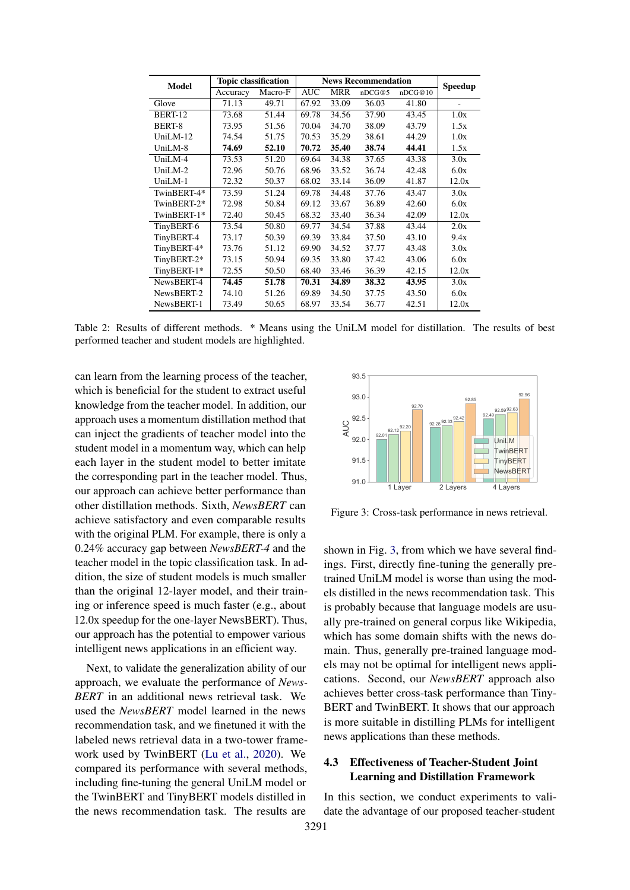<span id="page-6-0"></span>

| <b>Model</b> | <b>Topic classification</b> |         | <b>News Recommendation</b> |            |        |         | <b>Speedup</b>           |
|--------------|-----------------------------|---------|----------------------------|------------|--------|---------|--------------------------|
|              | Accuracy                    | Macro-F | <b>AUC</b>                 | <b>MRR</b> | nDCG@5 | nDCG@10 |                          |
| Glove        | 71.13                       | 49.71   | 67.92                      | 33.09      | 36.03  | 41.80   | $\overline{\phantom{0}}$ |
| BERT-12      | 73.68                       | 51.44   | 69.78                      | 34.56      | 37.90  | 43.45   | 1.0x                     |
| BERT-8       | 73.95                       | 51.56   | 70.04                      | 34.70      | 38.09  | 43.79   | 1.5x                     |
| $UniLM-12$   | 74.54                       | 51.75   | 70.53                      | 35.29      | 38.61  | 44.29   | 1.0x                     |
| UniLM-8      | 74.69                       | 52.10   | 70.72                      | 35.40      | 38.74  | 44.41   | 1.5x                     |
| UniLM-4      | 73.53                       | 51.20   | 69.64                      | 34.38      | 37.65  | 43.38   | 3.0x                     |
| $UniLM-2$    | 72.96                       | 50.76   | 68.96                      | 33.52      | 36.74  | 42.48   | 6.0x                     |
| $UniLM-1$    | 72.32                       | 50.37   | 68.02                      | 33.14      | 36.09  | 41.87   | 12.0x                    |
| TwinBERT-4*  | 73.59                       | 51.24   | 69.78                      | 34.48      | 37.76  | 43.47   | 3.0x                     |
| TwinBERT-2*  | 72.98                       | 50.84   | 69.12                      | 33.67      | 36.89  | 42.60   | 6.0x                     |
| TwinBERT-1*  | 72.40                       | 50.45   | 68.32                      | 33.40      | 36.34  | 42.09   | 12.0x                    |
| TinyBERT-6   | 73.54                       | 50.80   | 69.77                      | 34.54      | 37.88  | 43.44   | 2.0x                     |
| TinyBERT-4   | 73.17                       | 50.39   | 69.39                      | 33.84      | 37.50  | 43.10   | 9.4x                     |
| TinyBERT-4*  | 73.76                       | 51.12   | 69.90                      | 34.52      | 37.77  | 43.48   | 3.0x                     |
| TinyBERT-2*  | 73.15                       | 50.94   | 69.35                      | 33.80      | 37.42  | 43.06   | 6.0x                     |
| TinyBERT-1*  | 72.55                       | 50.50   | 68.40                      | 33.46      | 36.39  | 42.15   | 12.0x                    |
| NewsBERT-4   | 74.45                       | 51.78   | 70.31                      | 34.89      | 38.32  | 43.95   | 3.0x                     |
| NewsBERT-2   | 74.10                       | 51.26   | 69.89                      | 34.50      | 37.75  | 43.50   | 6.0x                     |
| NewsBERT-1   | 73.49                       | 50.65   | 68.97                      | 33.54      | 36.77  | 42.51   | 12.0x                    |

Table 2: Results of different methods. \* Means using the UniLM model for distillation. The results of best performed teacher and student models are highlighted.

can learn from the learning process of the teacher, which is beneficial for the student to extract useful knowledge from the teacher model. In addition, our approach uses a momentum distillation method that can inject the gradients of teacher model into the student model in a momentum way, which can help each layer in the student model to better imitate the corresponding part in the teacher model. Thus, our approach can achieve better performance than other distillation methods. Sixth, *NewsBERT* can achieve satisfactory and even comparable results with the original PLM. For example, there is only a 0.24% accuracy gap between *NewsBERT-4* and the teacher model in the topic classification task. In addition, the size of student models is much smaller than the original 12-layer model, and their training or inference speed is much faster (e.g., about 12.0x speedup for the one-layer NewsBERT). Thus, our approach has the potential to empower various intelligent news applications in an efficient way.

Next, to validate the generalization ability of our approach, we evaluate the performance of *News-BERT* in an additional news retrieval task. We used the *NewsBERT* model learned in the news recommendation task, and we finetuned it with the labeled news retrieval data in a two-tower framework used by TwinBERT [\(Lu et al.,](#page-9-18) [2020\)](#page-9-18). We compared its performance with several methods, including fine-tuning the general UniLM model or the TwinBERT and TinyBERT models distilled in the news recommendation task. The results are

<span id="page-6-1"></span>

Figure 3: Cross-task performance in news retrieval.

shown in Fig. [3,](#page-6-1) from which we have several findings. First, directly fine-tuning the generally pretrained UniLM model is worse than using the models distilled in the news recommendation task. This is probably because that language models are usually pre-trained on general corpus like Wikipedia, which has some domain shifts with the news domain. Thus, generally pre-trained language models may not be optimal for intelligent news applications. Second, our *NewsBERT* approach also achieves better cross-task performance than Tiny-BERT and TwinBERT. It shows that our approach is more suitable in distilling PLMs for intelligent news applications than these methods.

# 4.3 Effectiveness of Teacher-Student Joint Learning and Distillation Framework

In this section, we conduct experiments to validate the advantage of our proposed teacher-student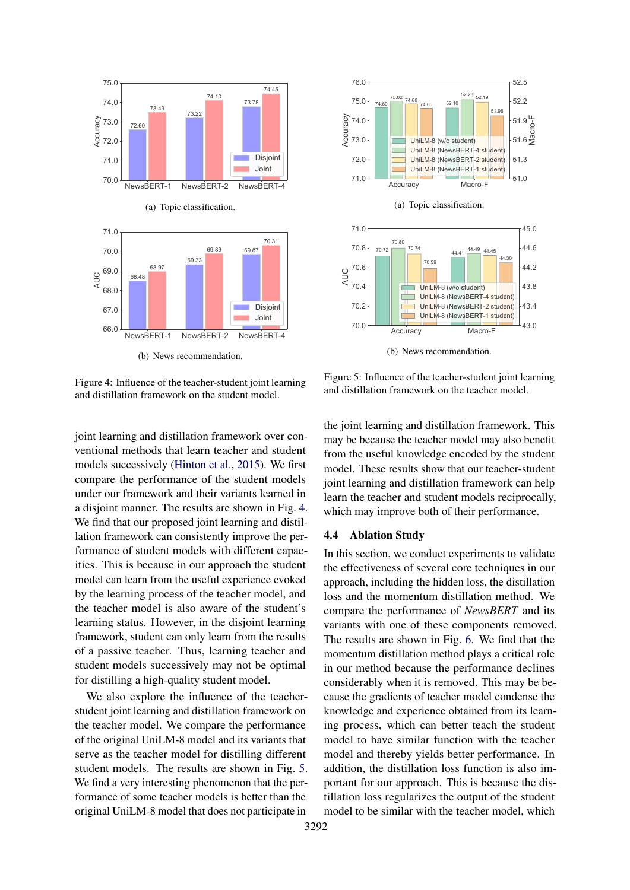<span id="page-7-0"></span>

(b) News recommendation.

Figure 4: Influence of the teacher-student joint learning and distillation framework on the student model.



We also explore the influence of the teacherstudent joint learning and distillation framework on the teacher model. We compare the performance of the original UniLM-8 model and its variants that serve as the teacher model for distilling different student models. The results are shown in Fig. [5.](#page-7-1) We find a very interesting phenomenon that the performance of some teacher models is better than the original UniLM-8 model that does not participate in

<span id="page-7-1"></span>

Figure 5: Influence of the teacher-student joint learning and distillation framework on the teacher model.

the joint learning and distillation framework. This may be because the teacher model may also benefit from the useful knowledge encoded by the student model. These results show that our teacher-student joint learning and distillation framework can help learn the teacher and student models reciprocally, which may improve both of their performance.

#### 4.4 Ablation Study

In this section, we conduct experiments to validate the effectiveness of several core techniques in our approach, including the hidden loss, the distillation loss and the momentum distillation method. We compare the performance of *NewsBERT* and its variants with one of these components removed. The results are shown in Fig. [6.](#page-8-0) We find that the momentum distillation method plays a critical role in our method because the performance declines considerably when it is removed. This may be because the gradients of teacher model condense the knowledge and experience obtained from its learning process, which can better teach the student model to have similar function with the teacher model and thereby yields better performance. In addition, the distillation loss function is also important for our approach. This is because the distillation loss regularizes the output of the student model to be similar with the teacher model, which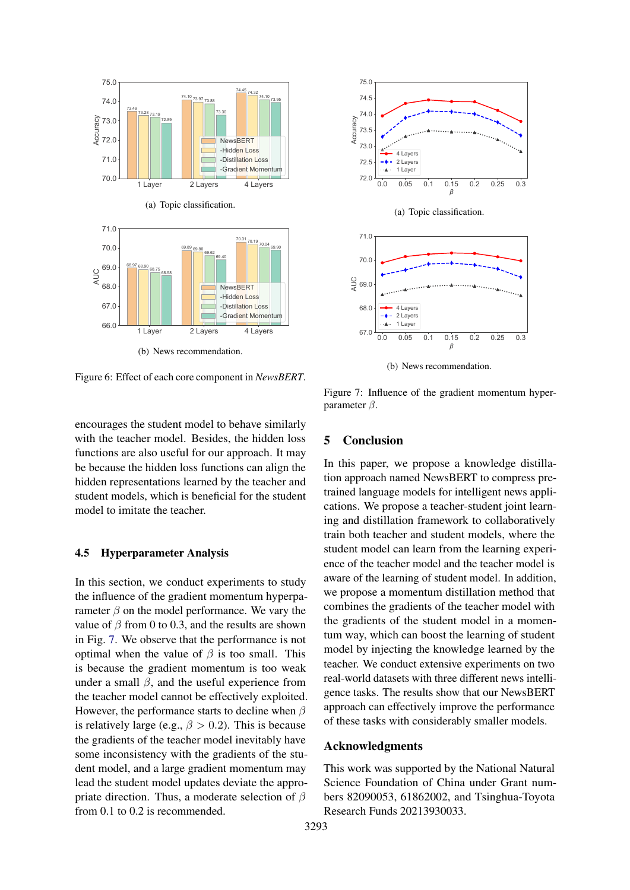<span id="page-8-0"></span>

Figure 6: Effect of each core component in *NewsBERT*.

encourages the student model to behave similarly with the teacher model. Besides, the hidden loss functions are also useful for our approach. It may be because the hidden loss functions can align the hidden representations learned by the teacher and student models, which is beneficial for the student model to imitate the teacher.

### 4.5 Hyperparameter Analysis

In this section, we conduct experiments to study the influence of the gradient momentum hyperparameter  $\beta$  on the model performance. We vary the value of  $\beta$  from 0 to 0.3, and the results are shown in Fig. [7.](#page-8-1) We observe that the performance is not optimal when the value of  $\beta$  is too small. This is because the gradient momentum is too weak under a small  $\beta$ , and the useful experience from the teacher model cannot be effectively exploited. However, the performance starts to decline when  $\beta$ is relatively large (e.g.,  $\beta > 0.2$ ). This is because the gradients of the teacher model inevitably have some inconsistency with the gradients of the student model, and a large gradient momentum may lead the student model updates deviate the appropriate direction. Thus, a moderate selection of  $\beta$ from 0.1 to 0.2 is recommended.

<span id="page-8-1"></span>

(b) News recommendation.

Figure 7: Influence of the gradient momentum hyperparameter  $\beta$ .

### 5 Conclusion

In this paper, we propose a knowledge distillation approach named NewsBERT to compress pretrained language models for intelligent news applications. We propose a teacher-student joint learning and distillation framework to collaboratively train both teacher and student models, where the student model can learn from the learning experience of the teacher model and the teacher model is aware of the learning of student model. In addition, we propose a momentum distillation method that combines the gradients of the teacher model with the gradients of the student model in a momentum way, which can boost the learning of student model by injecting the knowledge learned by the teacher. We conduct extensive experiments on two real-world datasets with three different news intelligence tasks. The results show that our NewsBERT approach can effectively improve the performance of these tasks with considerably smaller models.

# Acknowledgments

This work was supported by the National Natural Science Foundation of China under Grant numbers 82090053, 61862002, and Tsinghua-Toyota Research Funds 20213930033.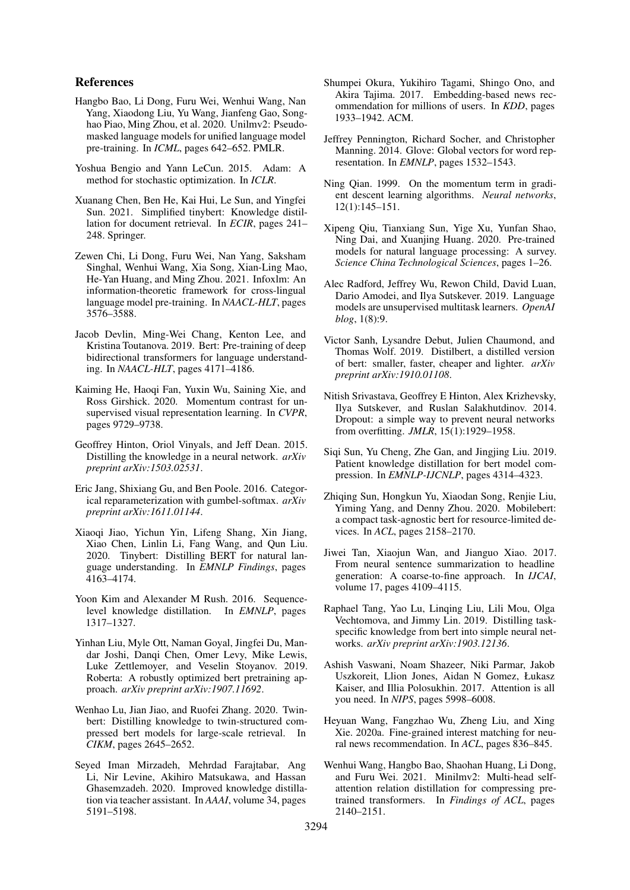#### References

- <span id="page-9-23"></span>Hangbo Bao, Li Dong, Furu Wei, Wenhui Wang, Nan Yang, Xiaodong Liu, Yu Wang, Jianfeng Gao, Songhao Piao, Ming Zhou, et al. 2020. Unilmv2: Pseudomasked language models for unified language model pre-training. In *ICML*, pages 642–652. PMLR.
- <span id="page-9-24"></span>Yoshua Bengio and Yann LeCun. 2015. Adam: A method for stochastic optimization. In *ICLR*.
- <span id="page-9-19"></span>Xuanang Chen, Ben He, Kai Hui, Le Sun, and Yingfei Sun. 2021. Simplified tinybert: Knowledge distillation for document retrieval. In *ECIR*, pages 241– 248. Springer.
- <span id="page-9-22"></span>Zewen Chi, Li Dong, Furu Wei, Nan Yang, Saksham Singhal, Wenhui Wang, Xia Song, Xian-Ling Mao, He-Yan Huang, and Ming Zhou. 2021. Infoxlm: An information-theoretic framework for cross-lingual language model pre-training. In *NAACL-HLT*, pages 3576–3588.
- <span id="page-9-0"></span>Jacob Devlin, Ming-Wei Chang, Kenton Lee, and Kristina Toutanova. 2019. Bert: Pre-training of deep bidirectional transformers for language understanding. In *NAACL-HLT*, pages 4171–4186.
- <span id="page-9-21"></span>Kaiming He, Haoqi Fan, Yuxin Wu, Saining Xie, and Ross Girshick. 2020. Momentum contrast for unsupervised visual representation learning. In *CVPR*, pages 9729–9738.
- <span id="page-9-9"></span>Geoffrey Hinton, Oriol Vinyals, and Jeff Dean. 2015. Distilling the knowledge in a neural network. *arXiv preprint arXiv:1503.02531*.
- <span id="page-9-13"></span>Eric Jang, Shixiang Gu, and Ben Poole. 2016. Categorical reparameterization with gumbel-softmax. *arXiv preprint arXiv:1611.01144*.
- <span id="page-9-12"></span>Xiaoqi Jiao, Yichun Yin, Lifeng Shang, Xin Jiang, Xiao Chen, Linlin Li, Fang Wang, and Qun Liu. 2020. Tinybert: Distilling BERT for natural language understanding. In *EMNLP Findings*, pages 4163–4174.
- <span id="page-9-10"></span>Yoon Kim and Alexander M Rush. 2016. Sequencelevel knowledge distillation. In *EMNLP*, pages 1317–1327.
- <span id="page-9-2"></span>Yinhan Liu, Myle Ott, Naman Goyal, Jingfei Du, Mandar Joshi, Danqi Chen, Omer Levy, Mike Lewis, Luke Zettlemoyer, and Veselin Stoyanov. 2019. Roberta: A robustly optimized bert pretraining approach. *arXiv preprint arXiv:1907.11692*.
- <span id="page-9-18"></span>Wenhao Lu, Jian Jiao, and Ruofei Zhang. 2020. Twinbert: Distilling knowledge to twin-structured compressed bert models for large-scale retrieval. In *CIKM*, pages 2645–2652.
- <span id="page-9-15"></span>Seyed Iman Mirzadeh, Mehrdad Farajtabar, Ang Li, Nir Levine, Akihiro Matsukawa, and Hassan Ghasemzadeh. 2020. Improved knowledge distillation via teacher assistant. In *AAAI*, volume 34, pages 5191–5198.
- <span id="page-9-7"></span>Shumpei Okura, Yukihiro Tagami, Shingo Ono, and Akira Tajima. 2017. Embedding-based news recommendation for millions of users. In *KDD*, pages 1933–1942. ACM.
- <span id="page-9-26"></span>Jeffrey Pennington, Richard Socher, and Christopher Manning. 2014. Glove: Global vectors for word representation. In *EMNLP*, pages 1532–1543.
- <span id="page-9-20"></span>Ning Qian. 1999. On the momentum term in gradient descent learning algorithms. *Neural networks*, 12(1):145–151.
- <span id="page-9-3"></span>Xipeng Qiu, Tianxiang Sun, Yige Xu, Yunfan Shao, Ning Dai, and Xuanjing Huang. 2020. Pre-trained models for natural language processing: A survey. *Science China Technological Sciences*, pages 1–26.
- <span id="page-9-1"></span>Alec Radford, Jeffrey Wu, Rewon Child, David Luan, Dario Amodei, and Ilya Sutskever. 2019. Language models are unsupervised multitask learners. *OpenAI blog*, 1(8):9.
- <span id="page-9-5"></span>Victor Sanh, Lysandre Debut, Julien Chaumond, and Thomas Wolf. 2019. Distilbert, a distilled version of bert: smaller, faster, cheaper and lighter. *arXiv preprint arXiv:1910.01108*.
- <span id="page-9-25"></span>Nitish Srivastava, Geoffrey E Hinton, Alex Krizhevsky, Ilya Sutskever, and Ruslan Salakhutdinov. 2014. Dropout: a simple way to prevent neural networks from overfitting. *JMLR*, 15(1):1929–1958.
- <span id="page-9-11"></span>Siqi Sun, Yu Cheng, Zhe Gan, and Jingjing Liu. 2019. Patient knowledge distillation for bert model compression. In *EMNLP-IJCNLP*, pages 4314–4323.
- <span id="page-9-16"></span>Zhiqing Sun, Hongkun Yu, Xiaodan Song, Renjie Liu, Yiming Yang, and Denny Zhou. 2020. Mobilebert: a compact task-agnostic bert for resource-limited devices. In *ACL*, pages 2158–2170.
- <span id="page-9-6"></span>Jiwei Tan, Xiaojun Wan, and Jianguo Xiao. 2017. From neural sentence summarization to headline generation: A coarse-to-fine approach. In *IJCAI*, volume 17, pages 4109–4115.
- <span id="page-9-14"></span>Raphael Tang, Yao Lu, Linqing Liu, Lili Mou, Olga Vechtomova, and Jimmy Lin. 2019. Distilling taskspecific knowledge from bert into simple neural networks. *arXiv preprint arXiv:1903.12136*.
- <span id="page-9-4"></span>Ashish Vaswani, Noam Shazeer, Niki Parmar, Jakob Uszkoreit, Llion Jones, Aidan N Gomez, Łukasz Kaiser, and Illia Polosukhin. 2017. Attention is all you need. In *NIPS*, pages 5998–6008.
- <span id="page-9-8"></span>Heyuan Wang, Fangzhao Wu, Zheng Liu, and Xing Xie. 2020a. Fine-grained interest matching for neural news recommendation. In *ACL*, pages 836–845.
- <span id="page-9-17"></span>Wenhui Wang, Hangbo Bao, Shaohan Huang, Li Dong, and Furu Wei. 2021. Minilmv2: Multi-head selfattention relation distillation for compressing pretrained transformers. In *Findings of ACL*, pages 2140–2151.